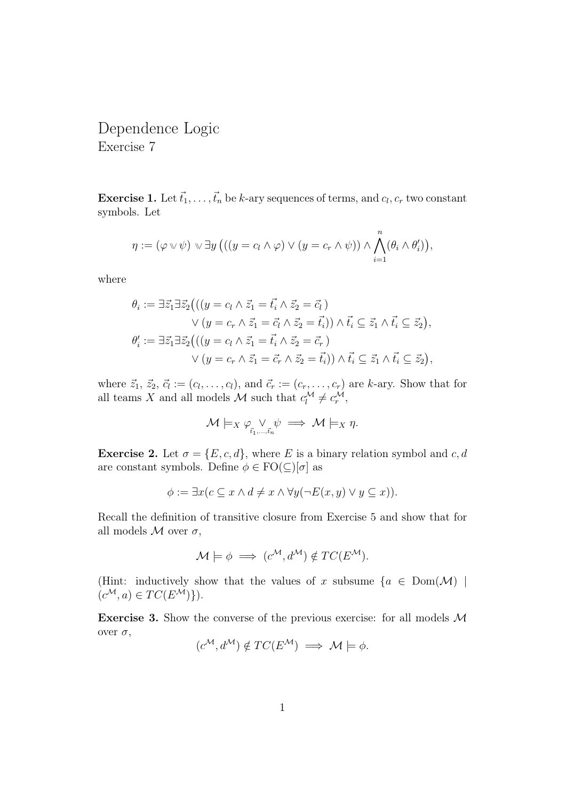Dependence Logic Exercise 7

**Exercise 1.** Let  $\vec{t}_1, \ldots, \vec{t}_n$  be k-ary sequences of terms, and  $c_l, c_r$  two constant symbols. Let

$$
\eta := (\varphi \vee \psi) \vee \exists y ((y = c_l \wedge \varphi) \vee (y = c_r \wedge \psi)) \wedge \bigwedge_{i=1}^n (\theta_i \wedge \theta'_i)),
$$

where

$$
\theta_i := \exists \vec{z}_1 \exists \vec{z}_2 \big( ((y = c_l \land \vec{z}_1 = \vec{t}_i \land \vec{z}_2 = \vec{c}_l) \times (y = c_r \land \vec{z}_1 = \vec{c}_l \land \vec{z}_2 = \vec{t}_i)) \land \vec{t}_i \subseteq \vec{z}_1 \land \vec{t}_i \subseteq \vec{z}_2),
$$
  

$$
\theta'_i := \exists \vec{z}_1 \exists \vec{z}_2 \big( ((y = c_l \land \vec{z}_1 = \vec{t}_i \land \vec{z}_2 = \vec{c}_r) \times (y = c_r \land \vec{z}_1 = \vec{c}_r \land \vec{z}_2 = \vec{t}_i)) \land \vec{t}_i \subseteq \vec{z}_1 \land \vec{t}_i \subseteq \vec{z}_2),
$$

where  $\vec{z}_1, \, \vec{z}_2, \, \vec{c}_l := (c_l, \ldots, c_l)$ , and  $\vec{c}_r := (c_r, \ldots, c_r)$  are k-ary. Show that for all teams X and all models M such that  $c_l^{\mathcal{M}} \neq c_r^{\mathcal{M}},$ 

$$
\mathcal{M}\models_X \varphi_{\vec{t}_1,\dots,\vec{t}_n} \psi \implies \mathcal{M}\models_X \eta.
$$

**Exercise 2.** Let  $\sigma = \{E, c, d\}$ , where E is a binary relation symbol and c, d are constant symbols. Define  $\phi \in \mathrm{FO}(\subseteq)[\sigma]$  as

$$
\phi := \exists x (c \subseteq x \land d \neq x \land \forall y (\neg E(x, y) \lor y \subseteq x)).
$$

Recall the definition of transitive closure from Exercise 5 and show that for all models  $M$  over  $\sigma$ ,

$$
\mathcal{M} \models \phi \implies (c^{\mathcal{M}}, d^{\mathcal{M}}) \notin TC(E^{\mathcal{M}}).
$$

(Hint: inductively show that the values of x subsume  $\{a \in Dom(\mathcal{M})\mid$  $(c^{\mathcal{M}}, a) \in TC(E^{\mathcal{M}})\}).$ 

Exercise 3. Show the converse of the previous exercise: for all models M over  $\sigma$ ,

$$
(c^{\mathcal{M}}, d^{\mathcal{M}}) \notin TC(E^{\mathcal{M}}) \implies \mathcal{M} \models \phi.
$$